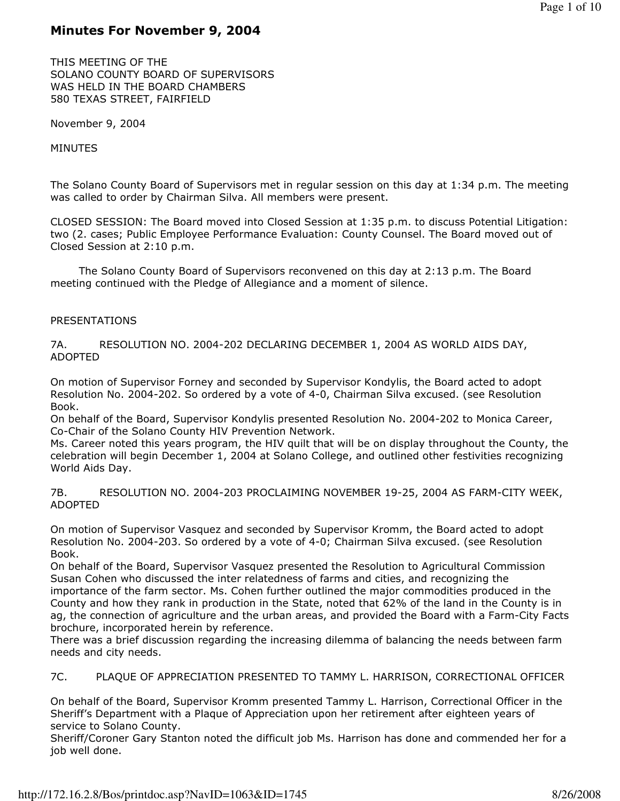# Minutes For November 9, 2004

THIS MEETING OF THE SOLANO COUNTY BOARD OF SUPERVISORS WAS HELD IN THE BOARD CHAMBERS 580 TEXAS STREET, FAIRFIELD

November 9, 2004

MINUTES

The Solano County Board of Supervisors met in regular session on this day at 1:34 p.m. The meeting was called to order by Chairman Silva. All members were present.

CLOSED SESSION: The Board moved into Closed Session at 1:35 p.m. to discuss Potential Litigation: two (2. cases; Public Employee Performance Evaluation: County Counsel. The Board moved out of Closed Session at 2:10 p.m.

 The Solano County Board of Supervisors reconvened on this day at 2:13 p.m. The Board meeting continued with the Pledge of Allegiance and a moment of silence.

## PRESENTATIONS

7A. RESOLUTION NO. 2004-202 DECLARING DECEMBER 1, 2004 AS WORLD AIDS DAY, ADOPTED

On motion of Supervisor Forney and seconded by Supervisor Kondylis, the Board acted to adopt Resolution No. 2004-202. So ordered by a vote of 4-0, Chairman Silva excused. (see Resolution Book.

On behalf of the Board, Supervisor Kondylis presented Resolution No. 2004-202 to Monica Career, Co-Chair of the Solano County HIV Prevention Network.

Ms. Career noted this years program, the HIV quilt that will be on display throughout the County, the celebration will begin December 1, 2004 at Solano College, and outlined other festivities recognizing World Aids Day.

7B. RESOLUTION NO. 2004-203 PROCLAIMING NOVEMBER 19-25, 2004 AS FARM-CITY WEEK, ADOPTED

On motion of Supervisor Vasquez and seconded by Supervisor Kromm, the Board acted to adopt Resolution No. 2004-203. So ordered by a vote of 4-0; Chairman Silva excused. (see Resolution Book.

On behalf of the Board, Supervisor Vasquez presented the Resolution to Agricultural Commission Susan Cohen who discussed the inter relatedness of farms and cities, and recognizing the importance of the farm sector. Ms. Cohen further outlined the major commodities produced in the County and how they rank in production in the State, noted that 62% of the land in the County is in ag, the connection of agriculture and the urban areas, and provided the Board with a Farm-City Facts brochure, incorporated herein by reference.

There was a brief discussion regarding the increasing dilemma of balancing the needs between farm needs and city needs.

7C. PLAQUE OF APPRECIATION PRESENTED TO TAMMY L. HARRISON, CORRECTIONAL OFFICER

On behalf of the Board, Supervisor Kromm presented Tammy L. Harrison, Correctional Officer in the Sheriff's Department with a Plaque of Appreciation upon her retirement after eighteen years of service to Solano County.

Sheriff/Coroner Gary Stanton noted the difficult job Ms. Harrison has done and commended her for a job well done.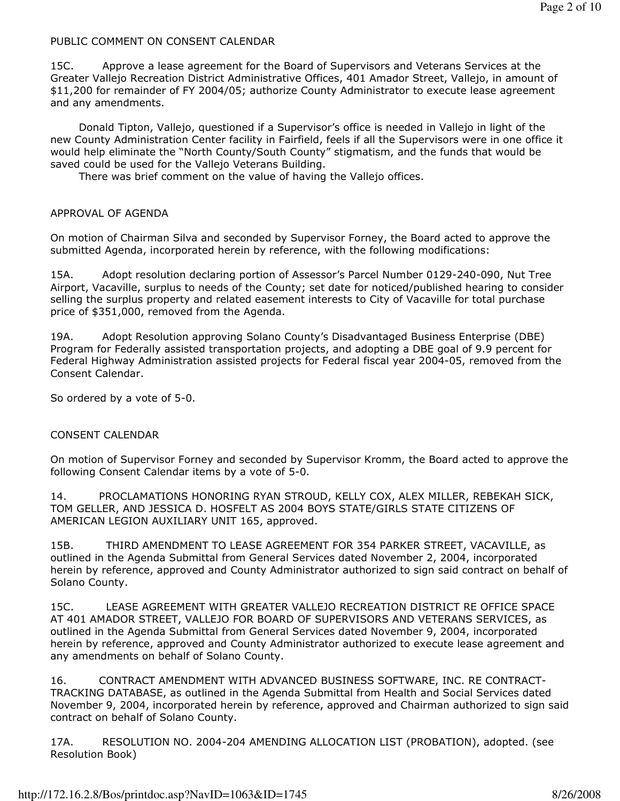### PUBLIC COMMENT ON CONSENT CALENDAR

15C. Approve a lease agreement for the Board of Supervisors and Veterans Services at the Greater Vallejo Recreation District Administrative Offices, 401 Amador Street, Vallejo, in amount of \$11,200 for remainder of FY 2004/05; authorize County Administrator to execute lease agreement and any amendments.

 Donald Tipton, Vallejo, questioned if a Supervisor's office is needed in Vallejo in light of the new County Administration Center facility in Fairfield, feels if all the Supervisors were in one office it would help eliminate the "North County/South County" stigmatism, and the funds that would be saved could be used for the Vallejo Veterans Building.

There was brief comment on the value of having the Vallejo offices.

### APPROVAL OF AGENDA

On motion of Chairman Silva and seconded by Supervisor Forney, the Board acted to approve the submitted Agenda, incorporated herein by reference, with the following modifications:

15A. Adopt resolution declaring portion of Assessor's Parcel Number 0129-240-090, Nut Tree Airport, Vacaville, surplus to needs of the County; set date for noticed/published hearing to consider selling the surplus property and related easement interests to City of Vacaville for total purchase price of \$351,000, removed from the Agenda.

19A. Adopt Resolution approving Solano County's Disadvantaged Business Enterprise (DBE) Program for Federally assisted transportation projects, and adopting a DBE goal of 9.9 percent for Federal Highway Administration assisted projects for Federal fiscal year 2004-05, removed from the Consent Calendar.

So ordered by a vote of 5-0.

### CONSENT CALENDAR

On motion of Supervisor Forney and seconded by Supervisor Kromm, the Board acted to approve the following Consent Calendar items by a vote of 5-0.

14. PROCLAMATIONS HONORING RYAN STROUD, KELLY COX, ALEX MILLER, REBEKAH SICK, TOM GELLER, AND JESSICA D. HOSFELT AS 2004 BOYS STATE/GIRLS STATE CITIZENS OF AMERICAN LEGION AUXILIARY UNIT 165, approved.

15B. THIRD AMENDMENT TO LEASE AGREEMENT FOR 354 PARKER STREET, VACAVILLE, as outlined in the Agenda Submittal from General Services dated November 2, 2004, incorporated herein by reference, approved and County Administrator authorized to sign said contract on behalf of Solano County.

15C. LEASE AGREEMENT WITH GREATER VALLEJO RECREATION DISTRICT RE OFFICE SPACE AT 401 AMADOR STREET, VALLEJO FOR BOARD OF SUPERVISORS AND VETERANS SERVICES, as outlined in the Agenda Submittal from General Services dated November 9, 2004, incorporated herein by reference, approved and County Administrator authorized to execute lease agreement and any amendments on behalf of Solano County.

16. CONTRACT AMENDMENT WITH ADVANCED BUSINESS SOFTWARE, INC. RE CONTRACT-TRACKING DATABASE, as outlined in the Agenda Submittal from Health and Social Services dated November 9, 2004, incorporated herein by reference, approved and Chairman authorized to sign said contract on behalf of Solano County.

17A. RESOLUTION NO. 2004-204 AMENDING ALLOCATION LIST (PROBATION), adopted. (see Resolution Book)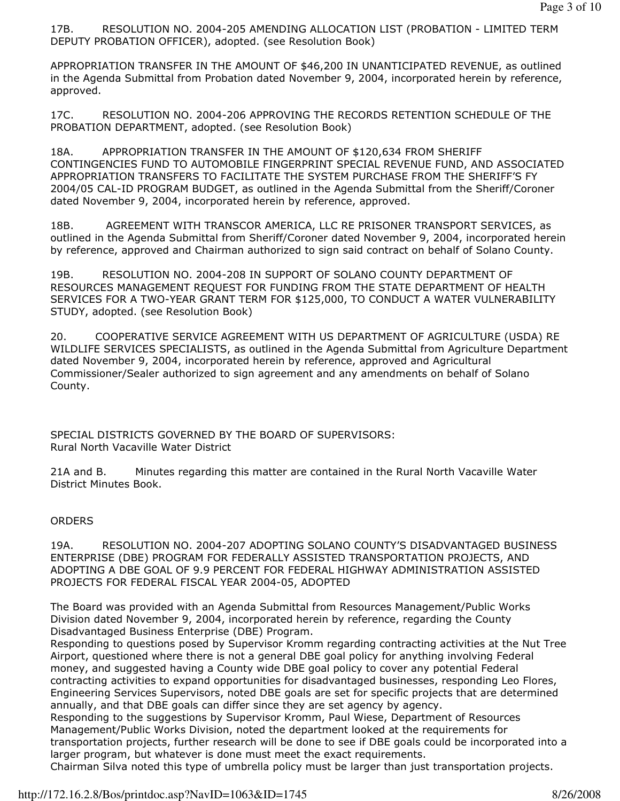17B. RESOLUTION NO. 2004-205 AMENDING ALLOCATION LIST (PROBATION - LIMITED TERM DEPUTY PROBATION OFFICER), adopted. (see Resolution Book)

APPROPRIATION TRANSFER IN THE AMOUNT OF \$46,200 IN UNANTICIPATED REVENUE, as outlined in the Agenda Submittal from Probation dated November 9, 2004, incorporated herein by reference, approved.

17C. RESOLUTION NO. 2004-206 APPROVING THE RECORDS RETENTION SCHEDULE OF THE PROBATION DEPARTMENT, adopted. (see Resolution Book)

18A. APPROPRIATION TRANSFER IN THE AMOUNT OF \$120,634 FROM SHERIFF CONTINGENCIES FUND TO AUTOMOBILE FINGERPRINT SPECIAL REVENUE FUND, AND ASSOCIATED APPROPRIATION TRANSFERS TO FACILITATE THE SYSTEM PURCHASE FROM THE SHERIFF'S FY 2004/05 CAL-ID PROGRAM BUDGET, as outlined in the Agenda Submittal from the Sheriff/Coroner dated November 9, 2004, incorporated herein by reference, approved.

18B. AGREEMENT WITH TRANSCOR AMERICA, LLC RE PRISONER TRANSPORT SERVICES, as outlined in the Agenda Submittal from Sheriff/Coroner dated November 9, 2004, incorporated herein by reference, approved and Chairman authorized to sign said contract on behalf of Solano County.

19B. RESOLUTION NO. 2004-208 IN SUPPORT OF SOLANO COUNTY DEPARTMENT OF RESOURCES MANAGEMENT REQUEST FOR FUNDING FROM THE STATE DEPARTMENT OF HEALTH SERVICES FOR A TWO-YEAR GRANT TERM FOR \$125,000, TO CONDUCT A WATER VULNERABILITY STUDY, adopted. (see Resolution Book)

20. COOPERATIVE SERVICE AGREEMENT WITH US DEPARTMENT OF AGRICULTURE (USDA) RE WILDLIFE SERVICES SPECIALISTS, as outlined in the Agenda Submittal from Agriculture Department dated November 9, 2004, incorporated herein by reference, approved and Agricultural Commissioner/Sealer authorized to sign agreement and any amendments on behalf of Solano County.

SPECIAL DISTRICTS GOVERNED BY THE BOARD OF SUPERVISORS: Rural North Vacaville Water District

21A and B. Minutes regarding this matter are contained in the Rural North Vacaville Water District Minutes Book.

### **ORDERS**

19A. RESOLUTION NO. 2004-207 ADOPTING SOLANO COUNTY'S DISADVANTAGED BUSINESS ENTERPRISE (DBE) PROGRAM FOR FEDERALLY ASSISTED TRANSPORTATION PROJECTS, AND ADOPTING A DBE GOAL OF 9.9 PERCENT FOR FEDERAL HIGHWAY ADMINISTRATION ASSISTED PROJECTS FOR FEDERAL FISCAL YEAR 2004-05, ADOPTED

The Board was provided with an Agenda Submittal from Resources Management/Public Works Division dated November 9, 2004, incorporated herein by reference, regarding the County Disadvantaged Business Enterprise (DBE) Program.

Responding to questions posed by Supervisor Kromm regarding contracting activities at the Nut Tree Airport, questioned where there is not a general DBE goal policy for anything involving Federal money, and suggested having a County wide DBE goal policy to cover any potential Federal contracting activities to expand opportunities for disadvantaged businesses, responding Leo Flores, Engineering Services Supervisors, noted DBE goals are set for specific projects that are determined annually, and that DBE goals can differ since they are set agency by agency.

Responding to the suggestions by Supervisor Kromm, Paul Wiese, Department of Resources Management/Public Works Division, noted the department looked at the requirements for transportation projects, further research will be done to see if DBE goals could be incorporated into a larger program, but whatever is done must meet the exact requirements.

Chairman Silva noted this type of umbrella policy must be larger than just transportation projects.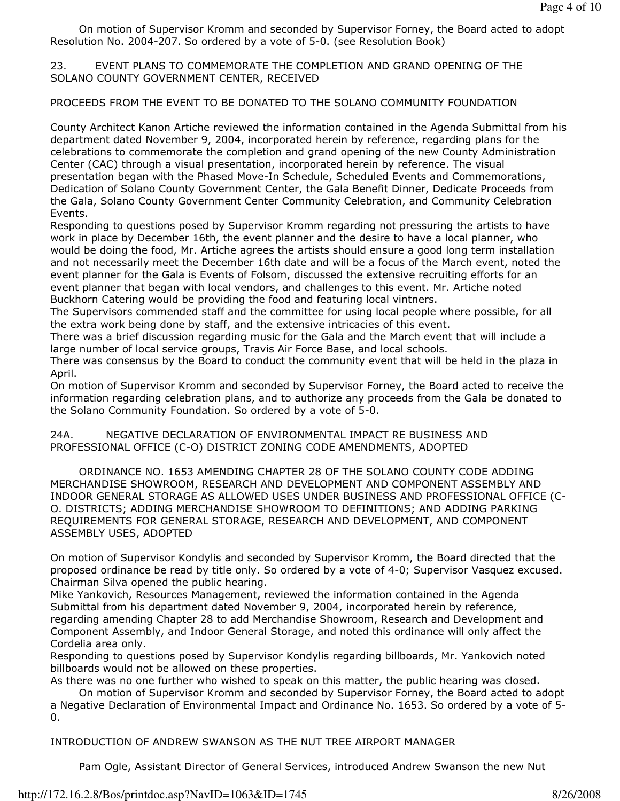On motion of Supervisor Kromm and seconded by Supervisor Forney, the Board acted to adopt Resolution No. 2004-207. So ordered by a vote of 5-0. (see Resolution Book)

23. EVENT PLANS TO COMMEMORATE THE COMPLETION AND GRAND OPENING OF THE SOLANO COUNTY GOVERNMENT CENTER, RECEIVED

PROCEEDS FROM THE EVENT TO BE DONATED TO THE SOLANO COMMUNITY FOUNDATION

County Architect Kanon Artiche reviewed the information contained in the Agenda Submittal from his department dated November 9, 2004, incorporated herein by reference, regarding plans for the celebrations to commemorate the completion and grand opening of the new County Administration Center (CAC) through a visual presentation, incorporated herein by reference. The visual presentation began with the Phased Move-In Schedule, Scheduled Events and Commemorations, Dedication of Solano County Government Center, the Gala Benefit Dinner, Dedicate Proceeds from the Gala, Solano County Government Center Community Celebration, and Community Celebration Events.

Responding to questions posed by Supervisor Kromm regarding not pressuring the artists to have work in place by December 16th, the event planner and the desire to have a local planner, who would be doing the food, Mr. Artiche agrees the artists should ensure a good long term installation and not necessarily meet the December 16th date and will be a focus of the March event, noted the event planner for the Gala is Events of Folsom, discussed the extensive recruiting efforts for an event planner that began with local vendors, and challenges to this event. Mr. Artiche noted Buckhorn Catering would be providing the food and featuring local vintners.

The Supervisors commended staff and the committee for using local people where possible, for all the extra work being done by staff, and the extensive intricacies of this event.

There was a brief discussion regarding music for the Gala and the March event that will include a large number of local service groups, Travis Air Force Base, and local schools.

There was consensus by the Board to conduct the community event that will be held in the plaza in April.

On motion of Supervisor Kromm and seconded by Supervisor Forney, the Board acted to receive the information regarding celebration plans, and to authorize any proceeds from the Gala be donated to the Solano Community Foundation. So ordered by a vote of 5-0.

24A. NEGATIVE DECLARATION OF ENVIRONMENTAL IMPACT RE BUSINESS AND PROFESSIONAL OFFICE (C-O) DISTRICT ZONING CODE AMENDMENTS, ADOPTED

 ORDINANCE NO. 1653 AMENDING CHAPTER 28 OF THE SOLANO COUNTY CODE ADDING MERCHANDISE SHOWROOM, RESEARCH AND DEVELOPMENT AND COMPONENT ASSEMBLY AND INDOOR GENERAL STORAGE AS ALLOWED USES UNDER BUSINESS AND PROFESSIONAL OFFICE (C-O. DISTRICTS; ADDING MERCHANDISE SHOWROOM TO DEFINITIONS; AND ADDING PARKING REQUIREMENTS FOR GENERAL STORAGE, RESEARCH AND DEVELOPMENT, AND COMPONENT ASSEMBLY USES, ADOPTED

On motion of Supervisor Kondylis and seconded by Supervisor Kromm, the Board directed that the proposed ordinance be read by title only. So ordered by a vote of 4-0; Supervisor Vasquez excused. Chairman Silva opened the public hearing.

Mike Yankovich, Resources Management, reviewed the information contained in the Agenda Submittal from his department dated November 9, 2004, incorporated herein by reference, regarding amending Chapter 28 to add Merchandise Showroom, Research and Development and Component Assembly, and Indoor General Storage, and noted this ordinance will only affect the Cordelia area only.

Responding to questions posed by Supervisor Kondylis regarding billboards, Mr. Yankovich noted billboards would not be allowed on these properties.

As there was no one further who wished to speak on this matter, the public hearing was closed.

 On motion of Supervisor Kromm and seconded by Supervisor Forney, the Board acted to adopt a Negative Declaration of Environmental Impact and Ordinance No. 1653. So ordered by a vote of 5- 0.

INTRODUCTION OF ANDREW SWANSON AS THE NUT TREE AIRPORT MANAGER

Pam Ogle, Assistant Director of General Services, introduced Andrew Swanson the new Nut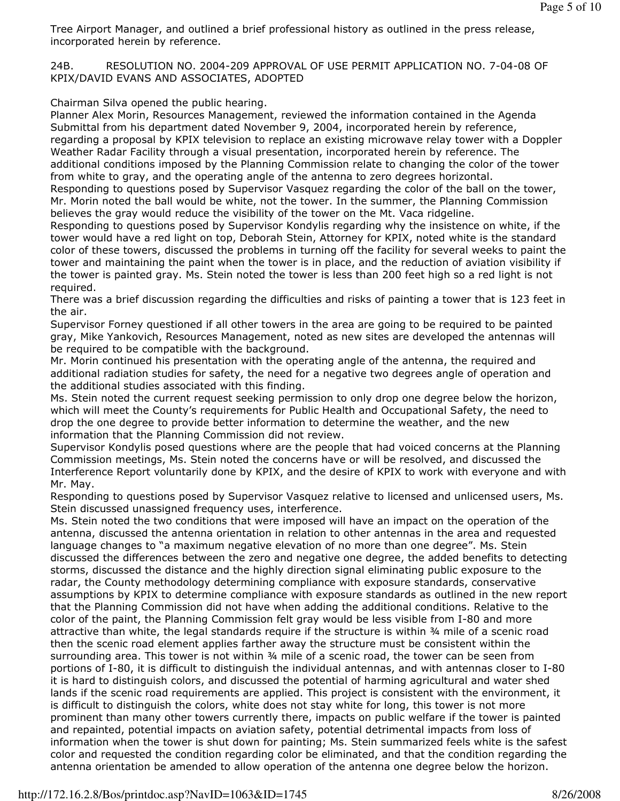Tree Airport Manager, and outlined a brief professional history as outlined in the press release, incorporated herein by reference.

24B. RESOLUTION NO. 2004-209 APPROVAL OF USE PERMIT APPLICATION NO. 7-04-08 OF KPIX/DAVID EVANS AND ASSOCIATES, ADOPTED

Chairman Silva opened the public hearing.

Planner Alex Morin, Resources Management, reviewed the information contained in the Agenda Submittal from his department dated November 9, 2004, incorporated herein by reference, regarding a proposal by KPIX television to replace an existing microwave relay tower with a Doppler Weather Radar Facility through a visual presentation, incorporated herein by reference. The additional conditions imposed by the Planning Commission relate to changing the color of the tower from white to gray, and the operating angle of the antenna to zero degrees horizontal.

Responding to questions posed by Supervisor Vasquez regarding the color of the ball on the tower, Mr. Morin noted the ball would be white, not the tower. In the summer, the Planning Commission believes the gray would reduce the visibility of the tower on the Mt. Vaca ridgeline.

Responding to questions posed by Supervisor Kondylis regarding why the insistence on white, if the tower would have a red light on top, Deborah Stein, Attorney for KPIX, noted white is the standard color of these towers, discussed the problems in turning off the facility for several weeks to paint the tower and maintaining the paint when the tower is in place, and the reduction of aviation visibility if the tower is painted gray. Ms. Stein noted the tower is less than 200 feet high so a red light is not required.

There was a brief discussion regarding the difficulties and risks of painting a tower that is 123 feet in the air.

Supervisor Forney questioned if all other towers in the area are going to be required to be painted gray, Mike Yankovich, Resources Management, noted as new sites are developed the antennas will be required to be compatible with the background.

Mr. Morin continued his presentation with the operating angle of the antenna, the required and additional radiation studies for safety, the need for a negative two degrees angle of operation and the additional studies associated with this finding.

Ms. Stein noted the current request seeking permission to only drop one degree below the horizon, which will meet the County's requirements for Public Health and Occupational Safety, the need to drop the one degree to provide better information to determine the weather, and the new information that the Planning Commission did not review.

Supervisor Kondylis posed questions where are the people that had voiced concerns at the Planning Commission meetings, Ms. Stein noted the concerns have or will be resolved, and discussed the Interference Report voluntarily done by KPIX, and the desire of KPIX to work with everyone and with Mr. May.

Responding to questions posed by Supervisor Vasquez relative to licensed and unlicensed users, Ms. Stein discussed unassigned frequency uses, interference.

Ms. Stein noted the two conditions that were imposed will have an impact on the operation of the antenna, discussed the antenna orientation in relation to other antennas in the area and requested language changes to "a maximum negative elevation of no more than one degree". Ms. Stein discussed the differences between the zero and negative one degree, the added benefits to detecting storms, discussed the distance and the highly direction signal eliminating public exposure to the radar, the County methodology determining compliance with exposure standards, conservative assumptions by KPIX to determine compliance with exposure standards as outlined in the new report that the Planning Commission did not have when adding the additional conditions. Relative to the color of the paint, the Planning Commission felt gray would be less visible from I-80 and more attractive than white, the legal standards require if the structure is within ¾ mile of a scenic road then the scenic road element applies farther away the structure must be consistent within the surrounding area. This tower is not within 34 mile of a scenic road, the tower can be seen from portions of I-80, it is difficult to distinguish the individual antennas, and with antennas closer to I-80 it is hard to distinguish colors, and discussed the potential of harming agricultural and water shed lands if the scenic road requirements are applied. This project is consistent with the environment, it is difficult to distinguish the colors, white does not stay white for long, this tower is not more prominent than many other towers currently there, impacts on public welfare if the tower is painted and repainted, potential impacts on aviation safety, potential detrimental impacts from loss of information when the tower is shut down for painting; Ms. Stein summarized feels white is the safest color and requested the condition regarding color be eliminated, and that the condition regarding the antenna orientation be amended to allow operation of the antenna one degree below the horizon.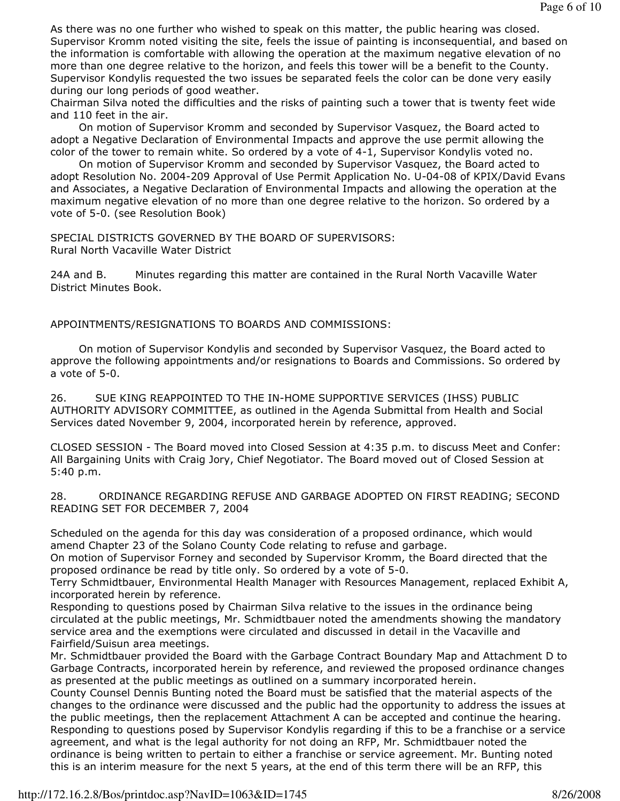As there was no one further who wished to speak on this matter, the public hearing was closed. Supervisor Kromm noted visiting the site, feels the issue of painting is inconsequential, and based on the information is comfortable with allowing the operation at the maximum negative elevation of no more than one degree relative to the horizon, and feels this tower will be a benefit to the County. Supervisor Kondylis requested the two issues be separated feels the color can be done very easily during our long periods of good weather.

Chairman Silva noted the difficulties and the risks of painting such a tower that is twenty feet wide and 110 feet in the air.

 On motion of Supervisor Kromm and seconded by Supervisor Vasquez, the Board acted to adopt a Negative Declaration of Environmental Impacts and approve the use permit allowing the color of the tower to remain white. So ordered by a vote of 4-1, Supervisor Kondylis voted no.

 On motion of Supervisor Kromm and seconded by Supervisor Vasquez, the Board acted to adopt Resolution No. 2004-209 Approval of Use Permit Application No. U-04-08 of KPIX/David Evans and Associates, a Negative Declaration of Environmental Impacts and allowing the operation at the maximum negative elevation of no more than one degree relative to the horizon. So ordered by a vote of 5-0. (see Resolution Book)

SPECIAL DISTRICTS GOVERNED BY THE BOARD OF SUPERVISORS: Rural North Vacaville Water District

24A and B. Minutes regarding this matter are contained in the Rural North Vacaville Water District Minutes Book.

APPOINTMENTS/RESIGNATIONS TO BOARDS AND COMMISSIONS:

 On motion of Supervisor Kondylis and seconded by Supervisor Vasquez, the Board acted to approve the following appointments and/or resignations to Boards and Commissions. So ordered by a vote of 5-0.

26. SUE KING REAPPOINTED TO THE IN-HOME SUPPORTIVE SERVICES (IHSS) PUBLIC AUTHORITY ADVISORY COMMITTEE, as outlined in the Agenda Submittal from Health and Social Services dated November 9, 2004, incorporated herein by reference, approved.

CLOSED SESSION - The Board moved into Closed Session at 4:35 p.m. to discuss Meet and Confer: All Bargaining Units with Craig Jory, Chief Negotiator. The Board moved out of Closed Session at 5:40 p.m.

28. ORDINANCE REGARDING REFUSE AND GARBAGE ADOPTED ON FIRST READING; SECOND READING SET FOR DECEMBER 7, 2004

Scheduled on the agenda for this day was consideration of a proposed ordinance, which would amend Chapter 23 of the Solano County Code relating to refuse and garbage.

On motion of Supervisor Forney and seconded by Supervisor Kromm, the Board directed that the proposed ordinance be read by title only. So ordered by a vote of 5-0.

Terry Schmidtbauer, Environmental Health Manager with Resources Management, replaced Exhibit A, incorporated herein by reference.

Responding to questions posed by Chairman Silva relative to the issues in the ordinance being circulated at the public meetings, Mr. Schmidtbauer noted the amendments showing the mandatory service area and the exemptions were circulated and discussed in detail in the Vacaville and Fairfield/Suisun area meetings.

Mr. Schmidtbauer provided the Board with the Garbage Contract Boundary Map and Attachment D to Garbage Contracts, incorporated herein by reference, and reviewed the proposed ordinance changes as presented at the public meetings as outlined on a summary incorporated herein.

County Counsel Dennis Bunting noted the Board must be satisfied that the material aspects of the changes to the ordinance were discussed and the public had the opportunity to address the issues at the public meetings, then the replacement Attachment A can be accepted and continue the hearing. Responding to questions posed by Supervisor Kondylis regarding if this to be a franchise or a service agreement, and what is the legal authority for not doing an RFP, Mr. Schmidtbauer noted the ordinance is being written to pertain to either a franchise or service agreement. Mr. Bunting noted this is an interim measure for the next 5 years, at the end of this term there will be an RFP, this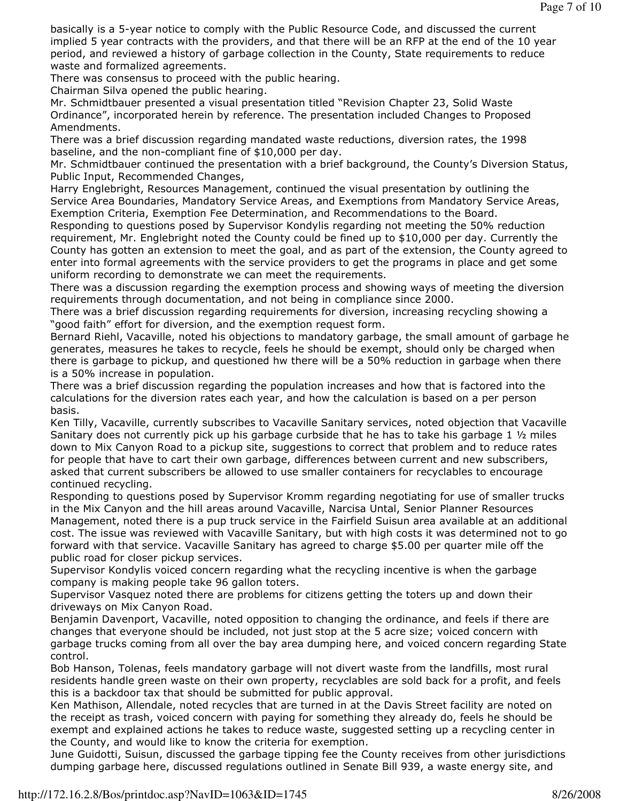basically is a 5-year notice to comply with the Public Resource Code, and discussed the current implied 5 year contracts with the providers, and that there will be an RFP at the end of the 10 year period, and reviewed a history of garbage collection in the County, State requirements to reduce waste and formalized agreements.

There was consensus to proceed with the public hearing.

Chairman Silva opened the public hearing.

Mr. Schmidtbauer presented a visual presentation titled "Revision Chapter 23, Solid Waste Ordinance", incorporated herein by reference. The presentation included Changes to Proposed Amendments.

There was a brief discussion regarding mandated waste reductions, diversion rates, the 1998 baseline, and the non-compliant fine of \$10,000 per day.

Mr. Schmidtbauer continued the presentation with a brief background, the County's Diversion Status, Public Input, Recommended Changes,

Harry Englebright, Resources Management, continued the visual presentation by outlining the Service Area Boundaries, Mandatory Service Areas, and Exemptions from Mandatory Service Areas, Exemption Criteria, Exemption Fee Determination, and Recommendations to the Board.

Responding to questions posed by Supervisor Kondylis regarding not meeting the 50% reduction requirement, Mr. Englebright noted the County could be fined up to \$10,000 per day. Currently the County has gotten an extension to meet the goal, and as part of the extension, the County agreed to enter into formal agreements with the service providers to get the programs in place and get some uniform recording to demonstrate we can meet the requirements.

There was a discussion regarding the exemption process and showing ways of meeting the diversion requirements through documentation, and not being in compliance since 2000.

There was a brief discussion regarding requirements for diversion, increasing recycling showing a "good faith" effort for diversion, and the exemption request form.

Bernard Riehl, Vacaville, noted his objections to mandatory garbage, the small amount of garbage he generates, measures he takes to recycle, feels he should be exempt, should only be charged when there is garbage to pickup, and questioned hw there will be a 50% reduction in garbage when there is a 50% increase in population.

There was a brief discussion regarding the population increases and how that is factored into the calculations for the diversion rates each year, and how the calculation is based on a per person basis.

Ken Tilly, Vacaville, currently subscribes to Vacaville Sanitary services, noted objection that Vacaville Sanitary does not currently pick up his garbage curbside that he has to take his garbage 1  $\frac{1}{2}$  miles down to Mix Canyon Road to a pickup site, suggestions to correct that problem and to reduce rates for people that have to cart their own garbage, differences between current and new subscribers, asked that current subscribers be allowed to use smaller containers for recyclables to encourage continued recycling.

Responding to questions posed by Supervisor Kromm regarding negotiating for use of smaller trucks in the Mix Canyon and the hill areas around Vacaville, Narcisa Untal, Senior Planner Resources Management, noted there is a pup truck service in the Fairfield Suisun area available at an additional cost. The issue was reviewed with Vacaville Sanitary, but with high costs it was determined not to go forward with that service. Vacaville Sanitary has agreed to charge \$5.00 per quarter mile off the public road for closer pickup services.

Supervisor Kondylis voiced concern regarding what the recycling incentive is when the garbage company is making people take 96 gallon toters.

Supervisor Vasquez noted there are problems for citizens getting the toters up and down their driveways on Mix Canyon Road.

Benjamin Davenport, Vacaville, noted opposition to changing the ordinance, and feels if there are changes that everyone should be included, not just stop at the 5 acre size; voiced concern with garbage trucks coming from all over the bay area dumping here, and voiced concern regarding State control.

Bob Hanson, Tolenas, feels mandatory garbage will not divert waste from the landfills, most rural residents handle green waste on their own property, recyclables are sold back for a profit, and feels this is a backdoor tax that should be submitted for public approval.

Ken Mathison, Allendale, noted recycles that are turned in at the Davis Street facility are noted on the receipt as trash, voiced concern with paying for something they already do, feels he should be exempt and explained actions he takes to reduce waste, suggested setting up a recycling center in the County, and would like to know the criteria for exemption.

June Guidotti, Suisun, discussed the garbage tipping fee the County receives from other jurisdictions dumping garbage here, discussed regulations outlined in Senate Bill 939, a waste energy site, and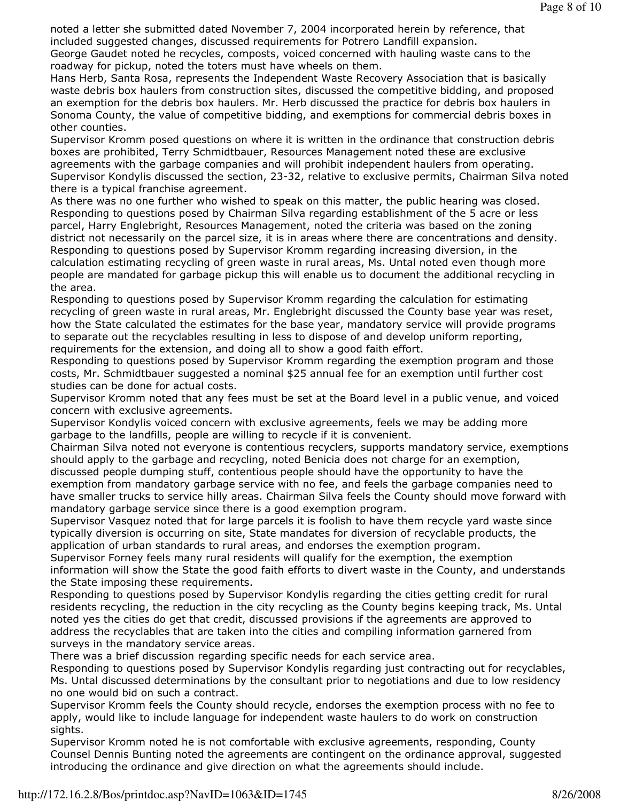noted a letter she submitted dated November 7, 2004 incorporated herein by reference, that included suggested changes, discussed requirements for Potrero Landfill expansion.

George Gaudet noted he recycles, composts, voiced concerned with hauling waste cans to the roadway for pickup, noted the toters must have wheels on them.

Hans Herb, Santa Rosa, represents the Independent Waste Recovery Association that is basically waste debris box haulers from construction sites, discussed the competitive bidding, and proposed an exemption for the debris box haulers. Mr. Herb discussed the practice for debris box haulers in Sonoma County, the value of competitive bidding, and exemptions for commercial debris boxes in other counties.

Supervisor Kromm posed questions on where it is written in the ordinance that construction debris boxes are prohibited, Terry Schmidtbauer, Resources Management noted these are exclusive agreements with the garbage companies and will prohibit independent haulers from operating. Supervisor Kondylis discussed the section, 23-32, relative to exclusive permits, Chairman Silva noted there is a typical franchise agreement.

As there was no one further who wished to speak on this matter, the public hearing was closed. Responding to questions posed by Chairman Silva regarding establishment of the 5 acre or less parcel, Harry Englebright, Resources Management, noted the criteria was based on the zoning district not necessarily on the parcel size, it is in areas where there are concentrations and density. Responding to questions posed by Supervisor Kromm regarding increasing diversion, in the calculation estimating recycling of green waste in rural areas, Ms. Untal noted even though more people are mandated for garbage pickup this will enable us to document the additional recycling in the area.

Responding to questions posed by Supervisor Kromm regarding the calculation for estimating recycling of green waste in rural areas, Mr. Englebright discussed the County base year was reset, how the State calculated the estimates for the base year, mandatory service will provide programs to separate out the recyclables resulting in less to dispose of and develop uniform reporting, requirements for the extension, and doing all to show a good faith effort.

Responding to questions posed by Supervisor Kromm regarding the exemption program and those costs, Mr. Schmidtbauer suggested a nominal \$25 annual fee for an exemption until further cost studies can be done for actual costs.

Supervisor Kromm noted that any fees must be set at the Board level in a public venue, and voiced concern with exclusive agreements.

Supervisor Kondylis voiced concern with exclusive agreements, feels we may be adding more garbage to the landfills, people are willing to recycle if it is convenient.

Chairman Silva noted not everyone is contentious recyclers, supports mandatory service, exemptions should apply to the garbage and recycling, noted Benicia does not charge for an exemption, discussed people dumping stuff, contentious people should have the opportunity to have the exemption from mandatory garbage service with no fee, and feels the garbage companies need to have smaller trucks to service hilly areas. Chairman Silva feels the County should move forward with mandatory garbage service since there is a good exemption program.

Supervisor Vasquez noted that for large parcels it is foolish to have them recycle yard waste since typically diversion is occurring on site, State mandates for diversion of recyclable products, the application of urban standards to rural areas, and endorses the exemption program.

Supervisor Forney feels many rural residents will qualify for the exemption, the exemption information will show the State the good faith efforts to divert waste in the County, and understands the State imposing these requirements.

Responding to questions posed by Supervisor Kondylis regarding the cities getting credit for rural residents recycling, the reduction in the city recycling as the County begins keeping track, Ms. Untal noted yes the cities do get that credit, discussed provisions if the agreements are approved to address the recyclables that are taken into the cities and compiling information garnered from surveys in the mandatory service areas.

There was a brief discussion regarding specific needs for each service area.

Responding to questions posed by Supervisor Kondylis regarding just contracting out for recyclables, Ms. Untal discussed determinations by the consultant prior to negotiations and due to low residency no one would bid on such a contract.

Supervisor Kromm feels the County should recycle, endorses the exemption process with no fee to apply, would like to include language for independent waste haulers to do work on construction sights.

Supervisor Kromm noted he is not comfortable with exclusive agreements, responding, County Counsel Dennis Bunting noted the agreements are contingent on the ordinance approval, suggested introducing the ordinance and give direction on what the agreements should include.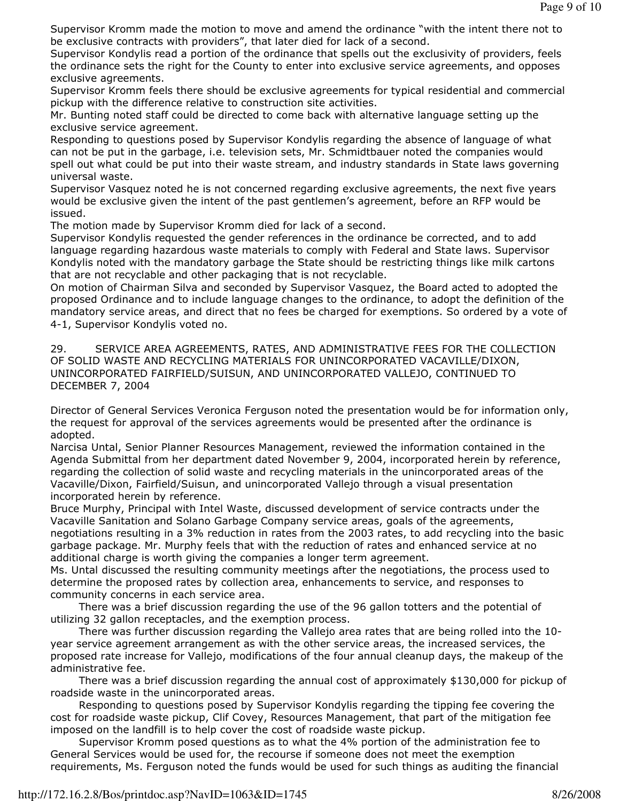Supervisor Kromm made the motion to move and amend the ordinance "with the intent there not to be exclusive contracts with providers", that later died for lack of a second.

Supervisor Kondylis read a portion of the ordinance that spells out the exclusivity of providers, feels the ordinance sets the right for the County to enter into exclusive service agreements, and opposes exclusive agreements.

Supervisor Kromm feels there should be exclusive agreements for typical residential and commercial pickup with the difference relative to construction site activities.

Mr. Bunting noted staff could be directed to come back with alternative language setting up the exclusive service agreement.

Responding to questions posed by Supervisor Kondylis regarding the absence of language of what can not be put in the garbage, i.e. television sets, Mr. Schmidtbauer noted the companies would spell out what could be put into their waste stream, and industry standards in State laws governing universal waste.

Supervisor Vasquez noted he is not concerned regarding exclusive agreements, the next five years would be exclusive given the intent of the past gentlemen's agreement, before an RFP would be issued.

The motion made by Supervisor Kromm died for lack of a second.

Supervisor Kondylis requested the gender references in the ordinance be corrected, and to add language regarding hazardous waste materials to comply with Federal and State laws. Supervisor Kondylis noted with the mandatory garbage the State should be restricting things like milk cartons that are not recyclable and other packaging that is not recyclable.

On motion of Chairman Silva and seconded by Supervisor Vasquez, the Board acted to adopted the proposed Ordinance and to include language changes to the ordinance, to adopt the definition of the mandatory service areas, and direct that no fees be charged for exemptions. So ordered by a vote of 4-1, Supervisor Kondylis voted no.

29. SERVICE AREA AGREEMENTS, RATES, AND ADMINISTRATIVE FEES FOR THE COLLECTION OF SOLID WASTE AND RECYCLING MATERIALS FOR UNINCORPORATED VACAVILLE/DIXON, UNINCORPORATED FAIRFIELD/SUISUN, AND UNINCORPORATED VALLEJO, CONTINUED TO DECEMBER 7, 2004

Director of General Services Veronica Ferguson noted the presentation would be for information only, the request for approval of the services agreements would be presented after the ordinance is adopted.

Narcisa Untal, Senior Planner Resources Management, reviewed the information contained in the Agenda Submittal from her department dated November 9, 2004, incorporated herein by reference, regarding the collection of solid waste and recycling materials in the unincorporated areas of the Vacaville/Dixon, Fairfield/Suisun, and unincorporated Vallejo through a visual presentation incorporated herein by reference.

Bruce Murphy, Principal with Intel Waste, discussed development of service contracts under the Vacaville Sanitation and Solano Garbage Company service areas, goals of the agreements, negotiations resulting in a 3% reduction in rates from the 2003 rates, to add recycling into the basic garbage package. Mr. Murphy feels that with the reduction of rates and enhanced service at no additional charge is worth giving the companies a longer term agreement.

Ms. Untal discussed the resulting community meetings after the negotiations, the process used to determine the proposed rates by collection area, enhancements to service, and responses to community concerns in each service area.

 There was a brief discussion regarding the use of the 96 gallon totters and the potential of utilizing 32 gallon receptacles, and the exemption process.

 There was further discussion regarding the Vallejo area rates that are being rolled into the 10 year service agreement arrangement as with the other service areas, the increased services, the proposed rate increase for Vallejo, modifications of the four annual cleanup days, the makeup of the administrative fee.

 There was a brief discussion regarding the annual cost of approximately \$130,000 for pickup of roadside waste in the unincorporated areas.

 Responding to questions posed by Supervisor Kondylis regarding the tipping fee covering the cost for roadside waste pickup, Clif Covey, Resources Management, that part of the mitigation fee imposed on the landfill is to help cover the cost of roadside waste pickup.

 Supervisor Kromm posed questions as to what the 4% portion of the administration fee to General Services would be used for, the recourse if someone does not meet the exemption requirements, Ms. Ferguson noted the funds would be used for such things as auditing the financial